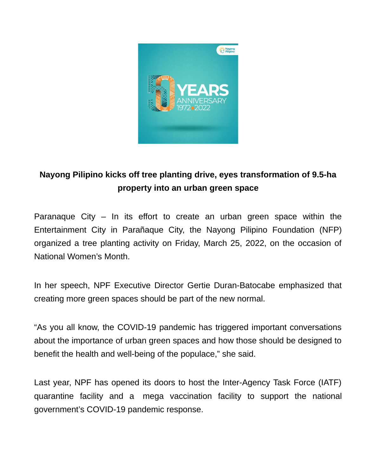

## **Nayong Pilipino kicks off tree planting drive, eyes transformation of 9.5-ha property into an urban green space**

Paranaque City – In its effort to create an urban green space within the Entertainment City in Parañaque City, the Nayong Pilipino Foundation (NFP) organized a tree planting activity on Friday, March 25, 2022, on the occasion of National Women's Month.

In her speech, NPF Executive Director Gertie Duran-Batocabe emphasized that creating more green spaces should be part of the new normal.

"As you all know, the COVID-19 pandemic has triggered important conversations about the importance of urban green spaces and how those should be designed to benefit the health and well-being of the populace," she said.

Last year, NPF has opened its doors to host the Inter-Agency Task Force (IATF) quarantine facility and a mega vaccination facility to support the national government's COVID-19 pandemic response.